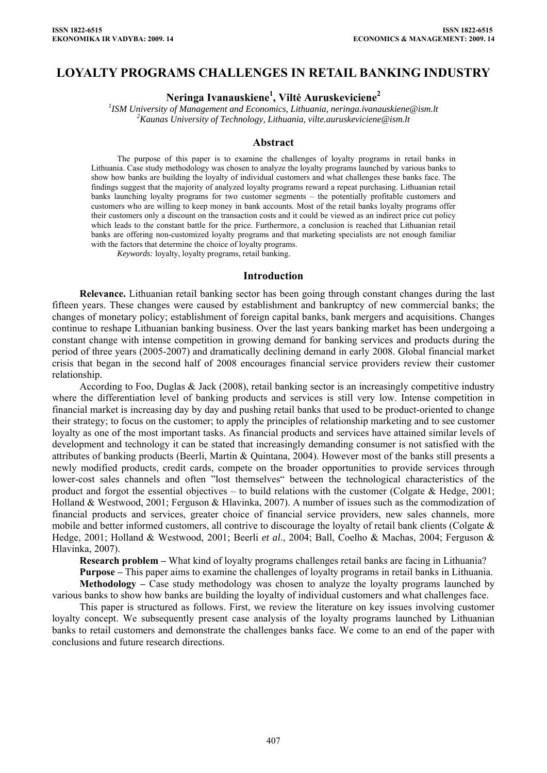# **LOYALTY PROGRAMS CHALLENGES IN RETAIL BANKING INDUSTRY**

**Neringa Ivanauskiene1 , Viltė Auruskeviciene2**

*1 ISM University of Management and Economics, Lithuania, [neringa.ivanauskiene@ism.lt](mailto:neringa.ivanauskiene@ism.lt) <sup>2</sup> Kaunas University of Technology, Lithuania, vilte.auruskeviciene@ism.lt* 

#### **Abstract**

The purpose of this paper is to examine the challenges of loyalty programs in retail banks in Lithuania. Case study methodology was chosen to analyze the loyalty programs launched by various banks to show how banks are building the loyalty of individual customers and what challenges these banks face. The findings suggest that the majority of analyzed loyalty programs reward a repeat purchasing. Lithuanian retail banks launching loyalty programs for two customer segments – the potentially profitable customers and customers who are willing to keep money in bank accounts. Most of the retail banks loyalty programs offer their customers only a discount on the transaction costs and it could be viewed as an indirect price cut policy which leads to the constant battle for the price. Furthermore, a conclusion is reached that Lithuanian retail banks are offering non-customized loyalty programs and that marketing specialists are not enough familiar with the factors that determine the choice of loyalty programs.

*Keywords:* loyalty, loyalty programs, retail banking.

#### **Introduction**

**Relevance.** Lithuanian retail banking sector has been going through constant changes during the last fifteen years. These changes were caused by establishment and bankruptcy of new commercial banks; the changes of monetary policy; establishment of foreign capital banks, bank mergers and acquisitions. Changes continue to reshape Lithuanian banking business. Over the last years banking market has been undergoing a constant change with intense competition in growing demand for banking services and products during the period of three years (2005-2007) and dramatically declining demand in early 2008. Global financial market crisis that began in the second half of 2008 encourages financial service providers review their customer relationship.

According to Foo, Duglas & Jack (2008), retail banking sector is an increasingly competitive industry where the differentiation level of banking products and services is still very low. Intense competition in financial market is increasing day by day and pushing retail banks that used to be product-oriented to change their strategy; to focus on the customer; to apply the principles of relationship marketing and to see customer loyalty as one of the most important tasks. As financial products and services have attained similar levels of development and technology it can be stated that increasingly demanding consumer is not satisfied with the attributes of banking products (Beerli, Martin & Quintana, 2004). However most of the banks still presents a newly modified products, credit cards, compete on the broader opportunities to provide services through lower-cost sales channels and often "lost themselves" between the technological characteristics of the product and forgot the essential objectives – to build relations with the customer (Colgate  $\&$  Hedge, 2001; Holland & Westwood, 2001; Ferguson & Hlavinka, 2007). A number of issues such as the commodization of financial products and services, greater choice of financial service providers, new sales channels, more mobile and better informed customers, all contrive to discourage the loyalty of retail bank clients (Colgate & Hedge, 2001; Holland & Westwood, 2001; Beerli *et al*., 2004; Ball, Coelho & Machas, 2004; Ferguson & Hlavinka, 2007).

**Research problem –** What kind of loyalty programs challenges retail banks are facing in Lithuania?

**Purpose –** This paper aims to examine the challenges of loyalty programs in retail banks in Lithuania. Methodology – Case study methodology was chosen to analyze the loyalty programs launched by various banks to show how banks are building the loyalty of individual customers and what challenges face.

This paper is structured as follows. First, we review the literature on key issues involving customer loyalty concept. We subsequently present case analysis of the loyalty programs launched by Lithuanian banks to retail customers and demonstrate the challenges banks face. We come to an end of the paper with conclusions and future research directions.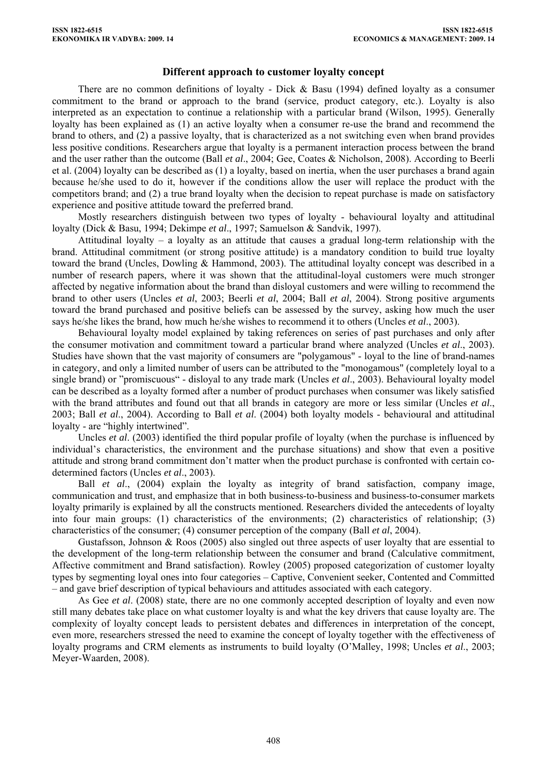## **Different approach to customer loyalty concept**

There are no common definitions of loyalty - Dick & Basu (1994) defined loyalty as a consumer commitment to the brand or approach to the brand (service, product category, etc.). Loyalty is also interpreted as an expectation to continue a relationship with a particular brand (Wilson, 1995). Generally loyalty has been explained as (1) an active loyalty when a consumer re-use the brand and recommend the brand to others, and (2) a passive loyalty, that is characterized as a not switching even when brand provides less positive conditions. Researchers argue that loyalty is a permanent interaction process between the brand and the user rather than the outcome (Ball *et al*., 2004; Gee, Coates & Nicholson, 2008). According to Beerli et al. (2004) loyalty can be described as (1) a loyalty, based on inertia, when the user purchases a brand again because he/she used to do it, however if the conditions allow the user will replace the product with the competitors brand; and (2) a true brand loyalty when the decision to repeat purchase is made on satisfactory experience and positive attitude toward the preferred brand.

Mostly researchers distinguish between two types of loyalty - behavioural loyalty and attitudinal loyalty (Dick & Basu, 1994; Dekimpe *et al*., 1997; Samuelson & Sandvik, 1997).

Attitudinal loyalty – a loyalty as an attitude that causes a gradual long-term relationship with the brand. Attitudinal commitment (or strong positive attitude) is a mandatory condition to build true loyalty toward the brand (Uncles, Dowling & Hammond, 2003). The attitudinal loyalty concept was described in a number of research papers, where it was shown that the attitudinal-loyal customers were much stronger affected by negative information about the brand than disloyal customers and were willing to recommend the brand to other users (Uncles *et al*, 2003; Beerli *et al*, 2004; Ball *et al*, 2004). Strong positive arguments toward the brand purchased and positive beliefs can be assessed by the survey, asking how much the user says he/she likes the brand, how much he/she wishes to recommend it to others (Uncles *et al*., 2003).

Behavioural loyalty model explained by taking references on series of past purchases and only after the consumer motivation and commitment toward a particular brand where analyzed (Uncles *et al*., 2003). Studies have shown that the vast majority of consumers are "polygamous" - loyal to the line of brand-names in category, and only a limited number of users can be attributed to the "monogamous" (completely loyal to a single brand) or "promiscuous" - disloyal to any trade mark (Uncles *et al*., 2003). Behavioural loyalty model can be described as a loyalty formed after a number of product purchases when consumer was likely satisfied with the brand attributes and found out that all brands in category are more or less similar (Uncles *et al*., 2003; Ball *et al*., 2004). According to Ball *et al*. (2004) both loyalty models - behavioural and attitudinal loyalty - are "highly intertwined".

Uncles *et al*. (2003) identified the third popular profile of loyalty (when the purchase is influenced by individual's characteristics, the environment and the purchase situations) and show that even a positive attitude and strong brand commitment don't matter when the product purchase is confronted with certain codetermined factors (Uncles *et al*., 2003).

Ball *et al*., (2004) explain the loyalty as integrity of brand satisfaction, company image, communication and trust, and emphasize that in both business-to-business and business-to-consumer markets loyalty primarily is explained by all the constructs mentioned. Researchers divided the antecedents of loyalty into four main groups: (1) characteristics of the environments; (2) characteristics of relationship; (3) characteristics of the consumer; (4) consumer perception of the company (Ball *et al*, 2004).

Gustafsson, Johnson & Roos (2005) also singled out three aspects of user loyalty that are essential to the development of the long-term relationship between the consumer and brand (Calculative commitment, Affective commitment and Brand satisfaction). Rowley (2005) proposed categorization of customer loyalty types by segmenting loyal ones into four categories – Captive, Convenient seeker, Contented and Committed – and gave brief description of typical behaviours and attitudes associated with each category.

As Gee *et al*. (2008) state, there are no one commonly accepted description of loyalty and even now still many debates take place on what customer loyalty is and what the key drivers that cause loyalty are. The complexity of loyalty concept leads to persistent debates and differences in interpretation of the concept, even more, researchers stressed the need to examine the concept of loyalty together with the effectiveness of loyalty programs and CRM elements as instruments to build loyalty (O'Malley, 1998; Uncles *et al*., 2003; Meyer-Waarden, 2008).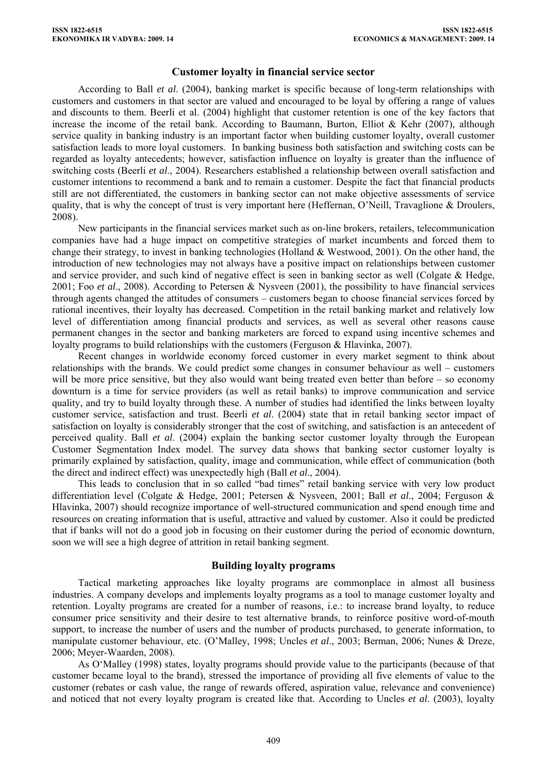#### **Customer loyalty in financial service sector**

According to Ball *et al*. (2004), banking market is specific because of long-term relationships with customers and customers in that sector are valued and encouraged to be loyal by offering a range of values and discounts to them. Beerli et al. (2004) highlight that customer retention is one of the key factors that increase the income of the retail bank. According to Baumann, Burton, Elliot & Kehr (2007), although service quality in banking industry is an important factor when building customer loyalty, overall customer satisfaction leads to more loyal customers. In banking business both satisfaction and switching costs can be regarded as loyalty antecedents; however, satisfaction influence on loyalty is greater than the influence of switching costs (Beerli *et al*., 2004). Researchers established a relationship between overall satisfaction and customer intentions to recommend a bank and to remain a customer. Despite the fact that financial products still are not differentiated, the customers in banking sector can not make objective assessments of service quality, that is why the concept of trust is very important here (Heffernan, O'Neill, Travaglione & Droulers, 2008).

New participants in the financial services market such as on-line brokers, retailers, telecommunication companies have had a huge impact on competitive strategies of market incumbents and forced them to change their strategy, to invest in banking technologies (Holland & Westwood, 2001). On the other hand, the introduction of new technologies may not always have a positive impact on relationships between customer and service provider, and such kind of negative effect is seen in banking sector as well (Colgate & Hedge, 2001; Foo *et al*., 2008). According to Petersen & Nysveen (2001), the possibility to have financial services through agents changed the attitudes of consumers – customers began to choose financial services forced by rational incentives, their loyalty has decreased. Competition in the retail banking market and relatively low level of differentiation among financial products and services, as well as several other reasons cause permanent changes in the sector and banking marketers are forced to expand using incentive schemes and loyalty programs to build relationships with the customers (Ferguson & Hlavinka, 2007).

Recent changes in worldwide economy forced customer in every market segment to think about relationships with the brands. We could predict some changes in consumer behaviour as well – customers will be more price sensitive, but they also would want being treated even better than before – so economy downturn is a time for service providers (as well as retail banks) to improve communication and service quality, and try to build loyalty through these. A number of studies had identified the links between loyalty customer service, satisfaction and trust. Beerli *et al*. (2004) state that in retail banking sector impact of satisfaction on loyalty is considerably stronger that the cost of switching, and satisfaction is an antecedent of perceived quality. Ball *et al*. (2004) explain the banking sector customer loyalty through the European Customer Segmentation Index model. The survey data shows that banking sector customer loyalty is primarily explained by satisfaction, quality, image and communication, while effect of communication (both the direct and indirect effect) was unexpectedly high (Ball *et al*., 2004).

This leads to conclusion that in so called "bad times" retail banking service with very low product differentiation level (Colgate & Hedge, 2001; Petersen & Nysveen, 2001; Ball *et al*., 2004; Ferguson & Hlavinka, 2007) should recognize importance of well-structured communication and spend enough time and resources on creating information that is useful, attractive and valued by customer. Also it could be predicted that if banks will not do a good job in focusing on their customer during the period of economic downturn, soon we will see a high degree of attrition in retail banking segment.

## **Building loyalty programs**

Tactical marketing approaches like loyalty programs are commonplace in almost all business industries. A company develops and implements loyalty programs as a tool to manage customer loyalty and retention. Loyalty programs are created for a number of reasons, i.e.: to increase brand loyalty, to reduce consumer price sensitivity and their desire to test alternative brands, to reinforce positive word-of-mouth support, to increase the number of users and the number of products purchased, to generate information, to manipulate customer behaviour, etc. (O'Malley, 1998; Uncles *et al*., 2003; Berman, 2006; Nunes & Dreze, 2006; Meyer-Waarden, 2008).

As O'Malley (1998) states, loyalty programs should provide value to the participants (because of that customer became loyal to the brand), stressed the importance of providing all five elements of value to the customer (rebates or cash value, the range of rewards offered, aspiration value, relevance and convenience) and noticed that not every loyalty program is created like that. According to Uncles *et al*. (2003), loyalty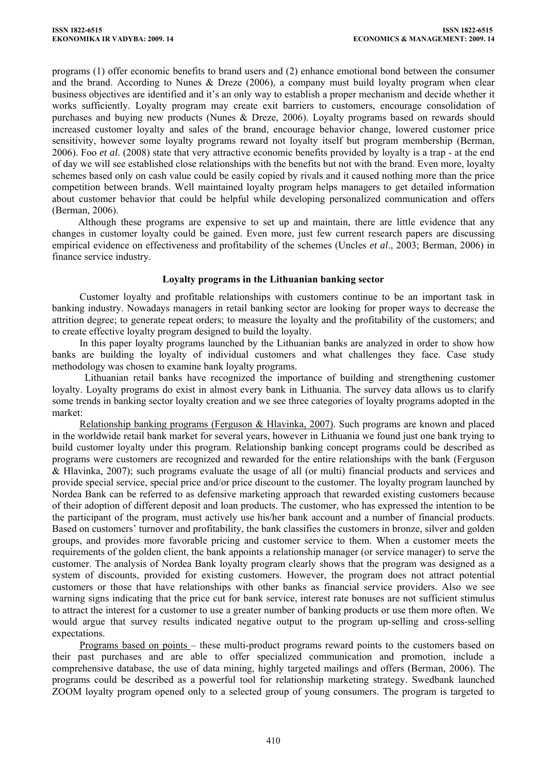programs (1) offer economic benefits to brand users and (2) enhance emotional bond between the consumer and the brand. According to Nunes & Dreze (2006), a company must build loyalty program when clear business objectives are identified and it's an only way to establish a proper mechanism and decide whether it works sufficiently. Loyalty program may create exit barriers to customers, encourage consolidation of purchases and buying new products (Nunes & Dreze, 2006). Loyalty programs based on rewards should increased customer loyalty and sales of the brand, encourage behavior change, lowered customer price sensitivity, however some loyalty programs reward not loyalty itself but program membership (Berman, 2006). Foo *et al*. (2008) state that very attractive economic benefits provided by loyalty is a trap - at the end of day we will see established close relationships with the benefits but not with the brand. Even more, loyalty schemes based only on cash value could be easily copied by rivals and it caused nothing more than the price competition between brands. Well maintained loyalty program helps managers to get detailed information about customer behavior that could be helpful while developing personalized communication and offers (Berman, 2006).

Although these programs are expensive to set up and maintain, there are little evidence that any changes in customer loyalty could be gained. Even more, just few current research papers are discussing empirical evidence on effectiveness and profitability of the schemes (Uncles *et al*., 2003; Berman, 2006) in finance service industry.

## **Loyalty programs in the Lithuanian banking sector**

Customer loyalty and profitable relationships with customers continue to be an important task in banking industry. Nowadays managers in retail banking sector are looking for proper ways to decrease the attrition degree; to generate repeat orders; to measure the loyalty and the profitability of the customers; and to create effective loyalty program designed to build the loyalty.

In this paper loyalty programs launched by the Lithuanian banks are analyzed in order to show how banks are building the loyalty of individual customers and what challenges they face. Case study methodology was chosen to examine bank loyalty programs.

 Lithuanian retail banks have recognized the importance of building and strengthening customer loyalty. Loyalty programs do exist in almost every bank in Lithuania. The survey data allows us to clarify some trends in banking sector loyalty creation and we see three categories of loyalty programs adopted in the market:

Relationship banking programs (Ferguson & Hlavinka, 2007). Such programs are known and placed in the worldwide retail bank market for several years, however in Lithuania we found just one bank trying to build customer loyalty under this program. Relationship banking concept programs could be described as programs were customers are recognized and rewarded for the entire relationships with the bank (Ferguson & Hlavinka, 2007); such programs evaluate the usage of all (or multi) financial products and services and provide special service, special price and/or price discount to the customer. The loyalty program launched by Nordea Bank can be referred to as defensive marketing approach that rewarded existing customers because of their adoption of different deposit and loan products. The customer, who has expressed the intention to be the participant of the program, must actively use his/her bank account and a number of financial products. Based on customers' turnover and profitability, the bank classifies the customers in bronze, silver and golden groups, and provides more favorable pricing and customer service to them. When a customer meets the requirements of the golden client, the bank appoints a relationship manager (or service manager) to serve the customer. The analysis of Nordea Bank loyalty program clearly shows that the program was designed as a system of discounts, provided for existing customers. However, the program does not attract potential customers or those that have relationships with other banks as financial service providers. Also we see warning signs indicating that the price cut for bank service, interest rate bonuses are not sufficient stimulus to attract the interest for a customer to use a greater number of banking products or use them more often. We would argue that survey results indicated negative output to the program up-selling and cross-selling expectations.

Programs based on points – these multi-product programs reward points to the customers based on their past purchases and are able to offer specialized communication and promotion, include a comprehensive database, the use of data mining, highly targeted mailings and offers (Berman, 2006). The programs could be described as a powerful tool for relationship marketing strategy. Swedbank launched ZOOM loyalty program opened only to a selected group of young consumers. The program is targeted to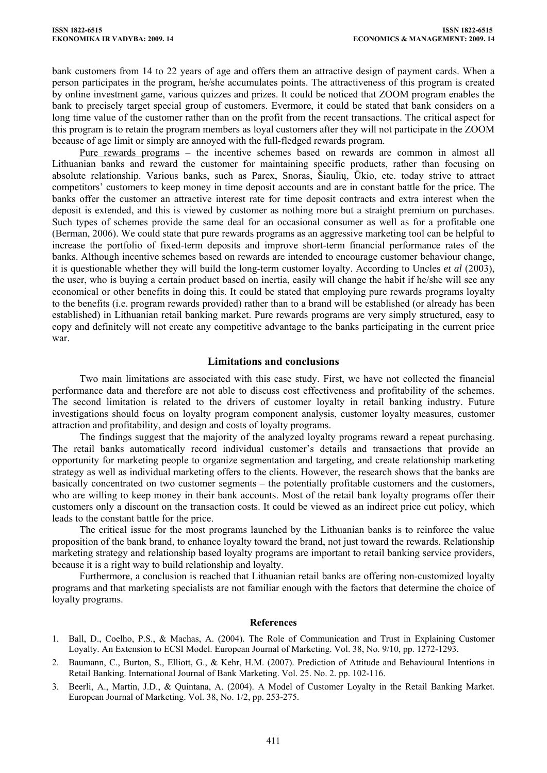bank customers from 14 to 22 years of age and offers them an attractive design of payment cards. When a person participates in the program, he/she accumulates points. The attractiveness of this program is created by online investment game, various quizzes and prizes. It could be noticed that ZOOM program enables the bank to precisely target special group of customers. Evermore, it could be stated that bank considers on a long time value of the customer rather than on the profit from the recent transactions. The critical aspect for this program is to retain the program members as loyal customers after they will not participate in the ZOOM because of age limit or simply are annoyed with the full-fledged rewards program.

Pure rewards programs – the incentive schemes based on rewards are common in almost all Lithuanian banks and reward the customer for maintaining specific products, rather than focusing on absolute relationship. Various banks, such as Parex, Snoras, Šiaulių, Ūkio, etc. today strive to attract competitors' customers to keep money in time deposit accounts and are in constant battle for the price. The banks offer the customer an attractive interest rate for time deposit contracts and extra interest when the deposit is extended, and this is viewed by customer as nothing more but a straight premium on purchases. Such types of schemes provide the same deal for an occasional consumer as well as for a profitable one (Berman, 2006). We could state that pure rewards programs as an aggressive marketing tool can be helpful to increase the portfolio of fixed-term deposits and improve short-term financial performance rates of the banks. Although incentive schemes based on rewards are intended to encourage customer behaviour change, it is questionable whether they will build the long-term customer loyalty. According to Uncles *et al* (2003), the user, who is buying a certain product based on inertia, easily will change the habit if he/she will see any economical or other benefits in doing this. It could be stated that employing pure rewards programs loyalty to the benefits (i.e. program rewards provided) rather than to a brand will be established (or already has been established) in Lithuanian retail banking market. Pure rewards programs are very simply structured, easy to copy and definitely will not create any competitive advantage to the banks participating in the current price war.

# **Limitations and conclusions**

Two main limitations are associated with this case study. First, we have not collected the financial performance data and therefore are not able to discuss cost effectiveness and profitability of the schemes. The second limitation is related to the drivers of customer loyalty in retail banking industry. Future investigations should focus on loyalty program component analysis, customer loyalty measures, customer attraction and profitability, and design and costs of loyalty programs.

The findings suggest that the majority of the analyzed loyalty programs reward a repeat purchasing. The retail banks automatically record individual customer's details and transactions that provide an opportunity for marketing people to organize segmentation and targeting, and create relationship marketing strategy as well as individual marketing offers to the clients. However, the research shows that the banks are basically concentrated on two customer segments – the potentially profitable customers and the customers, who are willing to keep money in their bank accounts. Most of the retail bank loyalty programs offer their customers only a discount on the transaction costs. It could be viewed as an indirect price cut policy, which leads to the constant battle for the price.

The critical issue for the most programs launched by the Lithuanian banks is to reinforce the value proposition of the bank brand, to enhance loyalty toward the brand, not just toward the rewards. Relationship marketing strategy and relationship based loyalty programs are important to retail banking service providers, because it is a right way to build relationship and loyalty.

Furthermore, a conclusion is reached that Lithuanian retail banks are offering non-customized loyalty programs and that marketing specialists are not familiar enough with the factors that determine the choice of loyalty programs.

#### **References**

- 1. Ball, D., Coelho, P.S., & Machas, A. (2004). The Role of Communication and Trust in Explaining Customer Loyalty. An Extension to ECSI Model. European Journal of Marketing. Vol. 38, No. 9/10, pp. 1272-1293.
- 2. Baumann, C., Burton, S., Elliott, G., & Kehr, H.M. (2007). Prediction of Attitude and Behavioural Intentions in Retail Banking. International Journal of Bank Marketing. Vol. 25. No. 2. pp. 102-116.
- 3. Beerli, A., Martin, J.D., & Quintana, A. (2004). A Model of Customer Loyalty in the Retail Banking Market. European Journal of Marketing. Vol. 38, No. 1/2, pp. 253-275.